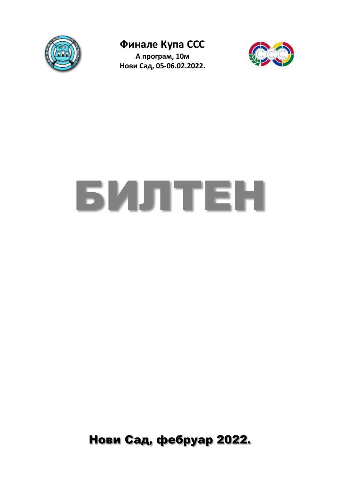

# **Финале Купа ССС**

**A програм, 10м Нови Сад, 05-06.02.2022.**



# БИЛТЕН

Нови Сад, фебруар 2022.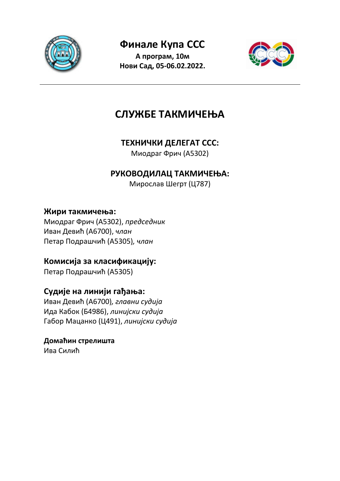

# **Финале Купа ССС**

**A програм, 10м Нови Сад, 05-06.02.2022.**



# **СЛУЖБЕ ТАКМИЧЕЊА**

#### **ТЕХНИЧКИ ДЕЛЕГАТ ССС:**

Миодраг Фрич (А5302)

## **РУКОВОДИЛАЦ ТАКМИЧЕЊА:**

Мирослав Шегрт (Ц787)

#### **Жири такмичења:**

Миодраг Фрич (А5302), *председник* Иван Девић (А6700), *члан* Петар Подрашчић (А5305)*, члан*

#### **Комисија за класификацију:**

Петар Подрашчић (А5305)

#### **Судије на линији гађања:**

Иван Девић (А6700)*, главни судија* Ида Кабок (Б4986), *линијски судија* Габор Мацанко (Ц491), *линијски судија*

#### **Домаћин стрелишта**

Ива Силић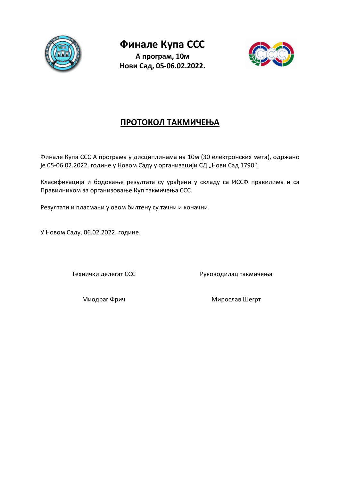

# **Финале Купа ССС**

**A програм, 10м Нови Сад, 05-06.02.2022.**



## **ПРОТОКОЛ ТАКМИЧЕЊА**

Финале Купа ССС А програма у дисциплинама на 10м (30 електронских мета), одржано је 05-06.02.2022. године у Новом Саду у организацији СД "Нови Сад 1790".

Класификација и бодовање резултата су урађени у складу са ИССФ правилима и са Правилником за организовање Куп такмичења ССС.

Резултати и пласмани у овом билтену су тачни и коначни.

У Новом Саду, 06.02.2022. године.

Технички делегат ССС

Руководилац такмичења

Миодраг Фрич

Мирослав Шегрт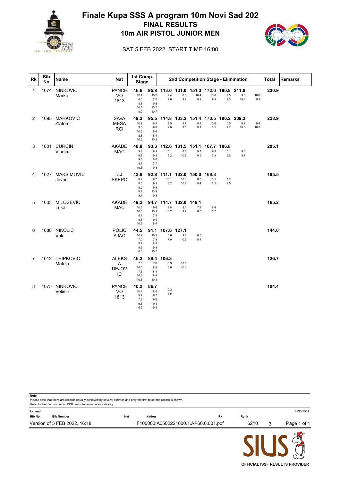

#### **Finale Kupa SSS A program 10m Novi Sad 202 FINAL RESULTS 10m AIR PISTOL JUNIOR MEN**



**OFFICIAL ISSF RESULTS PROVIDER**

SAT 5 FEB 2022, START TIME 16:00

| <b>Rk</b>      | <b>Bib</b><br>No | <b>Name</b>               | <b>Nat</b>                               | 1st Comp.<br><b>Stage</b>                  |                                            |                      |                       |                           |                                                    |                      | 2nd Competition Stage - Elimination |             | <b>Total</b> | <b>Remarks</b> |
|----------------|------------------|---------------------------|------------------------------------------|--------------------------------------------|--------------------------------------------|----------------------|-----------------------|---------------------------|----------------------------------------------------|----------------------|-------------------------------------|-------------|--------------|----------------|
| 1              | 1074             | <b>NINKOVIC</b><br>Marko  | <b>PANCE</b><br>VO<br>1813               | 46.6<br>10.1<br>8.3<br>8.8<br>10.5<br>8.9  | 95.8<br>10.2<br>7.8<br>9.8<br>10.7<br>10.7 | 9.4<br>7.8           | 8.8<br>9.2            | 10.4<br>9.9               | 113.0 131.0 151.3 172.0 190.8 211.0<br>10.8<br>9.9 | 9.5<br>9.3           | 9.8<br>10.4                         | 10.6<br>9.3 | 230.9        |                |
| 2              |                  | 1095 MARKOVIC<br>Zlatomir | <b>SAVA</b><br><b>MESA</b><br><b>RCI</b> | 49.2<br>10.2<br>9.0<br>10.6<br>8.8<br>10.6 | 95.5<br>9.1<br>9.0<br>9.6<br>8.4<br>10.2   | 114.8<br>9.5<br>9.8  | 133.2<br>8.9<br>9.5   | 151.4<br>9.1<br>9.1       | 170.5<br>10.6<br>8.5                               | 190.2<br>10.0<br>9.7 | 209.2<br>8.7<br>10.3                | 9.4<br>10.3 | 228.9        |                |
| 3              |                  | 1001 CURCIN<br>Vladimir   | <b>AKADE</b><br><b>MAC</b>               | 48.8<br>9.7<br>9.3<br>9.8<br>9.7<br>10.3   | 93.3<br>9.1<br>9.8<br>8.6<br>7.7<br>9.3    | 112.6<br>10.1<br>9.2 | 8.6<br>10.3           | 131.5 151.1<br>9.7<br>9.9 | 167.7<br>9.3<br>7.3                                | 186.8<br>10.1<br>9.0 | 9.6<br>8.7                          |             | 205.1        |                |
| 4              |                  | 1027 MAKSIMOVIC<br>Jovan  | D.J.<br><b>SKEPO</b>                     | 43.8<br>8.2<br>8.6<br>9.9<br>8.4<br>8.7    | 92.8<br>9.7<br>9.1<br>9.5<br>10.9<br>9.8   | 111.1<br>10.1<br>8.2 | 132.0<br>10.3<br>10.6 | 150.0<br>8.6<br>9.4       | 168.3<br>10.1<br>8.2                               | 7.7<br>9.5           |                                     |             | 185.5        |                |
| 5              |                  | 1003 MILOSEVIC<br>Luka    | <b>AKADE</b><br><b>MAC</b>               | 49.2<br>10.6<br>10.6<br>8.4<br>9.1<br>10.5 | 94.7<br>9.6<br>10.1<br>7.5<br>9.9<br>8.4   | 114.7<br>9.8<br>10.2 | 132.0<br>8.1<br>9.2   | 148.1<br>7.8<br>8.3       | 8.4<br>8.7                                         |                      |                                     |             | 165.2        |                |
| 6              |                  | 1088 NIKOLIC<br>Vuk       | <b>POLIC</b><br><b>AJAC</b>              | 44.5<br>10.2<br>7.0<br>9.2<br>9.5<br>8.6   | 91.1<br>10.2<br>7.8<br>8.1<br>9.8<br>10.7  | 107.6<br>8.6<br>7.9  | 127.1<br>9.3<br>10.2  | 8.5<br>8.4                |                                                    |                      |                                     |             | 144.0        |                |
| $\overline{7}$ |                  | 1012 TRIPKOVIC<br>Mateja  | <b>ALEKS</b><br>A<br><b>DEJOV</b><br>IC  | 46.2<br>7.8<br>10.0<br>7.6<br>10.3<br>10.5 | 89.4<br>7.8<br>8.8<br>8.1<br>8.4<br>10.1   | 106.3<br>8.3<br>8.6  | 10.1<br>10.3          |                           |                                                    |                      |                                     |             | 126.7        |                |
| 8              |                  | 1075 NINKOVIC<br>Velimir  | <b>PANCE</b><br>VO<br>1813               | 40.2<br>10.4<br>9.2<br>7.5<br>6.5<br>6.6   | 86.7<br>8.0<br>9.7<br>9.8<br>9.1<br>9.9    | 10.2<br>7.5          |                       |                           |                                                    |                      |                                     |             | 104.4        |                |

| Note                    | Please note that there are records equally achieved by several athletes and only the first to set the record is shown.<br>Refer to the Records list on ISSF website: www.issf-sports.org |            |                                      |    |      |   |             |
|-------------------------|------------------------------------------------------------------------------------------------------------------------------------------------------------------------------------------|------------|--------------------------------------|----|------|---|-------------|
| Legend<br><b>Bib No</b> | <b>Bib Number</b>                                                                                                                                                                        | <b>Nat</b> | Nation                               | Rk | Rank |   | 8736FFCA    |
|                         | Version of 5 FEB 2022, 16:18                                                                                                                                                             |            | F100000IA0502221600.1.AP60.0.001.pdf |    | 6210 | 3 | Page 1 of 1 |
|                         |                                                                                                                                                                                          |            |                                      |    |      |   |             |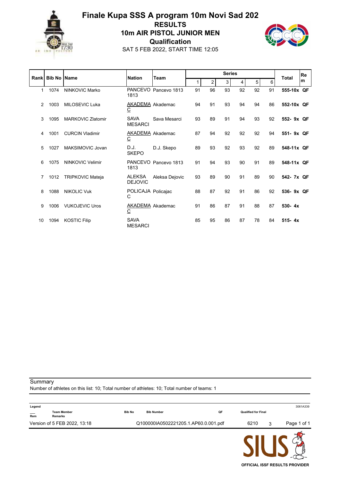

## **Finale Kupa SSS A program 10m Novi Sad 202 RESULTS 10m AIR PISTOL JUNIOR MEN Qualification**



SAT 5 FEB 2022, START TIME 12:05

|    | <b>Rankl Bib No IName</b> |                          | <b>Nation</b>                                       | <b>Team</b>          |    |    | <b>Series</b> |    |    |    | <b>Total</b> | Re |
|----|---------------------------|--------------------------|-----------------------------------------------------|----------------------|----|----|---------------|----|----|----|--------------|----|
|    |                           |                          |                                                     |                      |    | 2  | 3             | 4  | 5  | 6  |              | m  |
| 1  | 1074                      | <b>NINKOVIC Marko</b>    | 1813                                                | PANCEVO Pancevo 1813 | 91 | 96 | 93            | 92 | 92 | 91 | 555-10x QF   |    |
| 2  | 1003                      | <b>MILOSEVIC Luka</b>    | <b>AKADEMA Akademac</b><br>$\underline{\mathbb{C}}$ |                      | 94 | 91 | 93            | 94 | 94 | 86 | 552-10x QF   |    |
| 3  | 1095                      | <b>MARKOVIC Zlatomir</b> | <b>SAVA</b><br><b>MESARCI</b>                       | Sava Mesarci         | 93 | 89 | 91            | 94 | 93 | 92 | 552- 9x QF   |    |
| 4  | 1001                      | <b>CURCIN Vladimir</b>   | AKADEMA Akademac<br>$\underline{\mathbb{C}}$        |                      | 87 | 94 | 92            | 92 | 92 | 94 | 551- 9x QF   |    |
| 5  | 1027                      | MAKSIMOVIC Jovan         | D.J.<br><b>SKEPO</b>                                | D.J. Skepo           | 89 | 93 | 92            | 93 | 92 | 89 | 548-11x QF   |    |
| 6  | 1075                      | <b>NINKOVIC Velimir</b>  | <b>PANCEVO</b><br>1813                              | Pancevo 1813         | 91 | 94 | 93            | 90 | 91 | 89 | 548-11x QF   |    |
| 7  | 1012                      | <b>TRIPKOVIC Mateja</b>  | <b>ALEKSA</b><br><b>DEJOVIC</b>                     | Aleksa Dejovic       | 93 | 89 | 90            | 91 | 89 | 90 | 542- 7x QF   |    |
| 8  | 1088                      | <b>NIKOLIC Vuk</b>       | POLICAJA Policajac<br>С                             |                      | 88 | 87 | 92            | 91 | 86 | 92 | 536- 9x QF   |    |
| 9  | 1006                      | <b>VUKOJEVIC Uros</b>    | <b>AKADEMA</b> Akademac<br>$\underline{\mathbb{C}}$ |                      | 91 | 86 | 87            | 91 | 88 | 87 | 530-4x       |    |
| 10 | 1094                      | <b>KOSTIC Filip</b>      | <b>SAVA</b><br><b>MESARCI</b>                       |                      | 85 | 95 | 86            | 87 | 78 | 84 | $515 - 4x$   |    |

Summary

Number of athletes on this list: 10; Total number of athletes: 10; Total number of teams: 1

| Legend |                               |               |                                      |    |                            |   | 3061A339    |
|--------|-------------------------------|---------------|--------------------------------------|----|----------------------------|---|-------------|
| Rem    | <b>Team Member</b><br>Remarks | <b>Bib No</b> | <b>Bib Number</b>                    | QF | <b>Qualified for Final</b> |   |             |
|        | Version of 5 FEB 2022, 13:18  |               | Q100000IA0502221205.1.AP60.0.001.pdf |    | 6210                       | 3 | Page 1 of 1 |
|        |                               |               |                                      |    | AII IA                     |   |             |

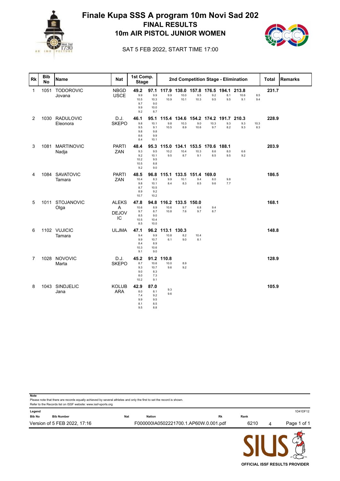

#### **Finale Kupa SSS A program 10m Novi Sad 202 FINAL RESULTS 10m AIR PISTOL JUNIOR WOMEN**



**OFFICIAL ISSF RESULTS PROVIDER**

SAT 5 FEB 2022, START TIME 17:00

| <b>Rk</b>      | <b>Bib</b><br>No | <b>Name</b>                | <b>Nat</b>                                           | 1st Comp.<br><b>Stage</b>                 |                                            |                      |                                 |                      |                                 |                                             | 2nd Competition Stage - Elimination |             | <b>Total</b> | <b>Remarks</b> |
|----------------|------------------|----------------------------|------------------------------------------------------|-------------------------------------------|--------------------------------------------|----------------------|---------------------------------|----------------------|---------------------------------|---------------------------------------------|-------------------------------------|-------------|--------------|----------------|
| 1              | 1051             | <b>TODOROVIC</b><br>Jovana | <b>NBGD</b><br><b>USCE</b>                           | 49.2<br>9.9<br>10.5<br>9.7<br>9.9<br>9.2  | 97.1<br>9.9<br>10.3<br>9.0<br>10.0<br>8.7  | 9.9<br>10.9          | 10.0<br>10.1                    | 9.5<br>10.3          | 9.2<br>9.5                      | 117.9 138.0 157.8 176.5 194.1<br>8.1<br>9.5 | 213.8<br>10.6<br>9.1                | 8.5<br>9.4  | 231.7        |                |
| 2              |                  | 1030 RADULOVIC<br>Eleonora | D.J.<br><b>SKEPO</b>                                 | 46.1<br>9.8<br>9.5<br>9.8<br>8.6<br>8.4   | 95.1<br>10.1<br>9.1<br>9.8<br>9.9<br>10.1  | 115.4<br>9.8<br>10.5 | 134.6<br>10.3<br>8.9            | 154.2<br>9.0<br>10.6 | 174.2<br>10.3<br>9.7            | 191.7 210.3<br>9.3<br>8.2                   | 9.3<br>9.3                          | 10.3<br>8.3 | 228.9        |                |
| 3              |                  | 1081 MARTINOVIC<br>Nadja   | <b>PARTI</b><br>ZAN                                  | 48.4<br>9.3<br>9.2<br>10.2<br>10.5<br>9.2 | 95.3<br>9.5<br>10.1<br>9.5<br>8.8<br>9.0   | 10.2<br>9.5          | 115.0 134.1<br>10.4<br>8.7      | 10.3<br>9.1          | 153.5 170.6 188.1<br>8.6<br>8.5 | 8.0<br>9.5                                  | $6.6\,$<br>9.2                      |             | 203.9        |                |
| 4              |                  | 1084 SAVATOVIC<br>Tamara   | <b>PARTI</b><br>ZAN                                  | 48.5<br>10.4<br>9.8<br>8.7<br>8.9<br>10.7 | 96.8<br>8.3<br>10.1<br>10.5<br>9.2<br>10.2 | 115.1<br>9.9<br>8.4  | 133.5<br>10.1<br>8.3            | 151.4<br>9.4<br>8.5  | 169.0<br>8.0<br>9.6             | 9.8<br>7.7                                  |                                     |             | 186.5        |                |
| 5              |                  | 1011 STOJANOVIC<br>Olga    | <b>ALEKS</b><br>$\overline{A}$<br><b>DEJOV</b><br>IC | 47.8<br>10.6<br>9.7<br>8.5<br>10.5<br>8.5 | 94.8<br>8.9<br>8.7<br>9.0<br>10.4<br>10.0  | 10.6<br>10.8         | 116.2 133.5 150.0<br>9.7<br>7.6 | $6.8\,$<br>9.7       | 9.4<br>8.7                      |                                             |                                     |             | 168.1        |                |
| 6              |                  | 1102 VUJICIC<br>Tamara     | <b>ULJMA</b>                                         | 47.1<br>9.4<br>9.9<br>8.4<br>10.3<br>9.1  | 96.2<br>9.9<br>10.7<br>8.9<br>10.6<br>9.0  | 113.1<br>10.8<br>6.1 | 130.3<br>8.2<br>9.0             | 10.4<br>8.1          |                                 |                                             |                                     |             | 148.8        |                |
| $\overline{7}$ |                  | 1028 NOVOVIC<br>Marta      | D.J.<br><b>SKEPO</b>                                 | 45.2<br>8.7<br>9.3<br>9.0<br>8.0<br>10.2  | 91.2<br>10.6<br>10.7<br>8.3<br>7.3<br>9.1  | 110.8<br>10.0<br>9.6 | 8.9<br>9.2                      |                      |                                 |                                             |                                     |             | 128.9        |                |
| 8              |                  | 1043 SINDJELIC<br>Jana     | <b>KOLUB</b><br><b>ARA</b>                           | 42.9<br>8.0<br>7.4<br>9.9<br>8.1<br>9.5   | 87.0<br>8.1<br>9.2<br>9.5<br>8.5<br>8.8    | 9.3<br>9.6           |                                 |                      |                                 |                                             |                                     |             | 105.9        |                |

| Legend        | Refer to the Records list on ISSF website: www.issf-sports.org |            |                                       |    |      |   | 1D41DF12    |
|---------------|----------------------------------------------------------------|------------|---------------------------------------|----|------|---|-------------|
| <b>Bib No</b> | <b>Bib Number</b>                                              | <b>Nat</b> | <b>Nation</b>                         | Rk | Rank |   |             |
|               | Version of 5 FEB 2022, 17:16                                   |            | F000000IA0502221700.1.AP60W.0.001.pdf |    | 6210 | 4 | Page 1 of 1 |
|               |                                                                |            |                                       |    |      |   |             |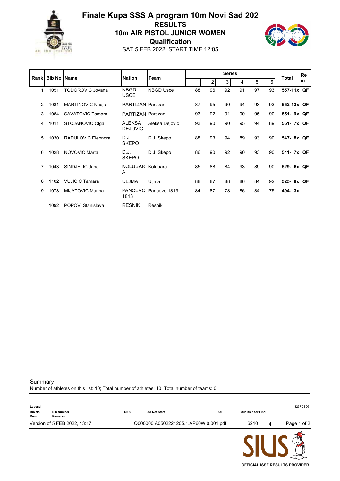

#### **Finale Kupa SSS A program 10m Novi Sad 202 RESULTS 10m AIR PISTOL JUNIOR WOMEN Qualification**



SAT 5 FEB 2022, START TIME 12:05

|   | Rank Bib No Name |                         | <b>Nation</b>                   | Team                 |    |                | <b>Series</b> |    |                |    | <b>Total</b> | Re |
|---|------------------|-------------------------|---------------------------------|----------------------|----|----------------|---------------|----|----------------|----|--------------|----|
|   |                  |                         |                                 |                      |    | $\overline{2}$ | 3             | 4  | 5 <sup>1</sup> | 6  |              | m  |
| 1 | 1051             | <b>TODOROVIC Jovana</b> | <b>NBGD</b><br><b>USCE</b>      | <b>NBGD Usce</b>     | 88 | 96             | 92            | 91 | 97             | 93 | 557-11x QF   |    |
| 2 | 1081             | MARTINOVIC Nadja        | PARTIZAN Partizan               |                      | 87 | 95             | 90            | 94 | 93             | 93 | 552-13x QF   |    |
| 3 | 1084             | <b>SAVATOVIC Tamara</b> | PARTIZAN Partizan               |                      | 93 | 92             | 91            | 90 | 95             | 90 | 551- 9x QF   |    |
| 4 | 1011             | STOJANOVIC Olga         | <b>ALEKSA</b><br><b>DEJOVIC</b> | Aleksa Dejovic       | 93 | 90             | 90            | 95 | 94             | 89 | 551-7x QF    |    |
| 5 | 1030             | RADULOVIC Eleonora      | D.J.<br><b>SKEPO</b>            | D.J. Skepo           | 88 | 93             | 94            | 89 | 93             | 90 | 547-8x QF    |    |
| 6 | 1028             | NOVOVIC Marta           | D.J.<br><b>SKEPO</b>            | D.J. Skepo           | 86 | 90             | 92            | 90 | 93             | 90 | 541- 7x QF   |    |
| 7 | 1043             | SINDJELIC Jana          | KOLUBAR Kolubara<br>A           |                      | 85 | 88             | 84            | 93 | 89             | 90 | 529- 6x QF   |    |
| 8 | 1102             | <b>VUJICIC Tamara</b>   | <b>ULJMA</b>                    | Uljma                | 88 | 87             | 88            | 86 | 84             | 92 | 525-8x QF    |    |
| 9 | 1073             | <b>MIJATOVIC Marina</b> | 1813                            | PANCEVO Pancevo 1813 | 84 | 87             | 78            | 86 | 84             | 75 | $494 - 3x$   |    |
|   | 1092             | POPOV Stanislava        | <b>RESNIK</b>                   | Resnik               |    |                |               |    |                |    |              |    |

#### Summary

Number of athletes on this list: 10; Total number of athletes: 10; Total number of teams: 0

| <b>Bib No</b><br>Rem | <b>Bib Number</b><br>Remarks<br>Version of 5 FEB 2022, 13:17 | <b>DNS</b> | <b>Did Not Start</b><br>Q000000IA0502221205.1.AP60W.0.001.pdf | QF | <b>Qualified for Final</b><br>6210 | 4 | Page 1 of 2 |
|----------------------|--------------------------------------------------------------|------------|---------------------------------------------------------------|----|------------------------------------|---|-------------|
|----------------------|--------------------------------------------------------------|------------|---------------------------------------------------------------|----|------------------------------------|---|-------------|

**SIC OFFICIAL ISSF RESULTS PROVIDER**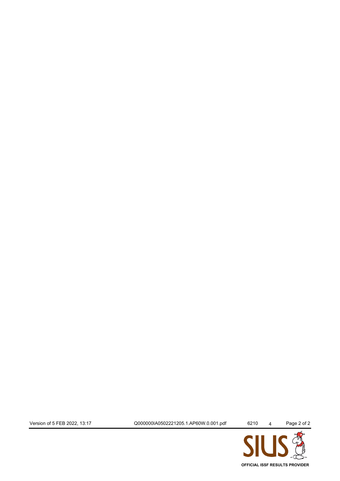

Version of 5 FEB 2022, 13:17 Q000000IA0502221205.1.AP60W.0.001.pdf 6210 4 Page 2 of 2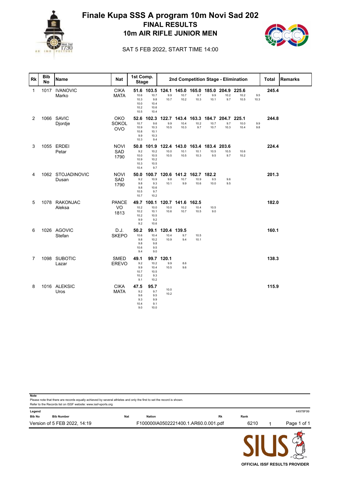

#### **Finale Kupa SSS A program 10m Novi Sad 202 FINAL RESULTS 10m AIR RIFLE JUNIOR MEN**



**OFFICIAL ISSF RESULTS PROVIDER**

SAT 5 FEB 2022, START TIME 14:00

| <b>Rk</b>      | <b>Bib</b><br><b>No</b> | Name                       | <b>Nat</b>                        | 1st Comp.<br><b>Stage</b>                   |                                                   |                       |                       |                             |                                  |                                  | 2nd Competition Stage - Elimination |             | <b>Total</b> | <b>Remarks</b> |
|----------------|-------------------------|----------------------------|-----------------------------------|---------------------------------------------|---------------------------------------------------|-----------------------|-----------------------|-----------------------------|----------------------------------|----------------------------------|-------------------------------------|-------------|--------------|----------------|
| $\mathbf{1}$   |                         | 1017 IVANOVIC<br>Marko     | <b>CIKA</b><br><b>MATA</b>        | 10.6<br>10.3<br>10.0<br>10.2<br>10.5        | 51.6 103.5<br>10.7<br>9.8<br>10.4<br>10.6<br>10.4 | 124.1<br>9.9<br>10.7  | 10.7<br>10.2          | 145.0 165.0<br>9.7<br>10.3  | 9.9<br>10.1                      | 185.0 204.9 225.6<br>10.2<br>9.7 | 10.2<br>10.5                        | 9.5<br>10.3 | 245.4        |                |
| $\overline{2}$ |                         | 1066 SAVIC<br>Djordje      | OKO<br><b>SOKOL</b><br><b>OVO</b> | 52.6<br>10.7<br>10.9<br>10.8<br>9.9<br>10.3 | 102.3<br>9.6<br>10.3<br>10.1<br>10.3<br>9.4       | 122.7<br>9.9<br>10.5  | 143.4<br>10.4<br>10.3 | 163.3<br>10.2<br>9.7        | 184.7<br>10.7<br>10.7            | 204.7<br>9.7<br>10.3             | 225.1<br>10.0<br>10.4               | 9.9<br>9.8  | 244.8        |                |
| 3              |                         | 1055 ERDEI<br>Petar        | <b>NOVI</b><br><b>SAD</b><br>1790 | 50.8<br>9.2<br>10.0<br>10.9<br>10.3<br>10.4 | 101.9<br>10.2<br>10.5<br>10.2<br>10.5<br>9.7      | 122.4<br>10.0<br>10.5 | 143.0<br>10.1<br>10.5 | 10.1<br>10.3                | 163.4 183.4 203.6<br>10.5<br>9.5 | 10.5<br>9.7                      | 10.6<br>10.2                        |             | 224.4        |                |
| 4              |                         | 1062 STOJADINOVIC<br>Dusan | <b>NOVI</b><br><b>SAD</b><br>1790 | 50.0<br>9.2<br>9.8<br>9.8<br>10.5<br>10.7   | 100.7<br>10.9<br>9.3<br>10.6<br>9.7<br>10.2       | 120.6<br>9.8<br>10.1  | 141.2<br>10.7<br>9.9  | 162.7 182.2<br>10.9<br>10.6 | 9.5<br>10.0                      | 9.6<br>9.5                       |                                     |             | 201.3        |                |
| 5              |                         | 1078 RAKONJAC<br>Aleksa    | <b>PANCE</b><br>VO<br>1813        | 49.7<br>10.2<br>10.2<br>10.2<br>9.9<br>9.2  | 100.1<br>10.0<br>10.1<br>10.5<br>9.2<br>10.6      | 120.7<br>10.0<br>10.6 | 141.6<br>10.2<br>10.7 | 162.5<br>10.4<br>10.5       | 10.5<br>9.0                      |                                  |                                     |             | 182.0        |                |
| 6              |                         | 1026 AGOVIC<br>Stefan      | D.J.<br><b>SKEPO</b>              | 50.2<br>10.6<br>9.8<br>9.8<br>10.6<br>9.4   | 99.1<br>10.4<br>10.2<br>9.8<br>9.5<br>9.0         | 120.4<br>10.4<br>10.9 | 139.5<br>9.7<br>9.4   | 10.5<br>10.1                |                                  |                                  |                                     |             | 160.1        |                |
| 7              |                         | 1098 SUBOTIC<br>Lazar      | <b>SMED</b><br><b>EREVO</b>       | 49.1<br>9.2<br>9.9<br>10.7<br>10.2<br>9.1   | 99.7<br>10.2<br>10.4<br>10.5<br>9.3<br>10.2       | 120.1<br>9.9<br>10.5  | 8.6<br>9.6            |                             |                                  |                                  |                                     |             | 138.3        |                |
| 8              |                         | 1016 ALEKSIC<br>Uros       | <b>CIKA</b><br><b>MATA</b>        | 47.5<br>9.2<br>9.6<br>9.3<br>10.4<br>9.0    | 95.7<br>9.7<br>9.5<br>9.9<br>9.1<br>10.0          | 10.0<br>10.2          |                       |                             |                                  |                                  |                                     |             | 115.9        |                |

| Legend        | Refer to the Records list on ISSF website: www.issf-sports.org |            |                                      |    |      | 44978F99    |
|---------------|----------------------------------------------------------------|------------|--------------------------------------|----|------|-------------|
| <b>Bib No</b> | <b>Bib Number</b>                                              | <b>Nat</b> | <b>Nation</b>                        | Rk | Rank |             |
|               | Version of 5 FEB 2022, 14:19                                   |            | F100000IA0502221400.1.AR60.0.001.pdf |    | 6210 | Page 1 of 1 |
|               |                                                                |            |                                      |    |      |             |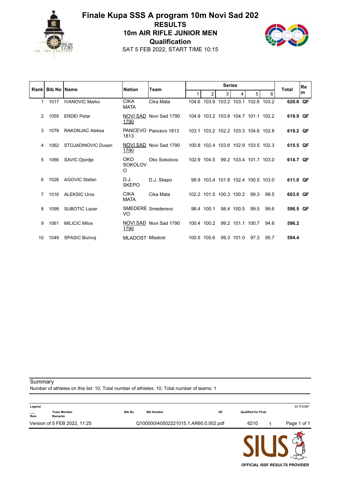

#### **Finale Kupa SSS A program 10m Novi Sad 202 RESULTS 10m AIR RIFLE JUNIOR MEN Qualification** SAT 5 FEB 2022, START TIME 10:15



|               | <b>Rankl Bib No IName</b> |                        | <b>Nation</b>              | Team                   |                                     | <b>Series</b> |            |                        |      | <b>Total</b> | Re |
|---------------|---------------------------|------------------------|----------------------------|------------------------|-------------------------------------|---------------|------------|------------------------|------|--------------|----|
|               |                           |                        |                            |                        | 2                                   | 3             | 4          | 5                      | 6    |              | lm |
| 1             | 1017                      | <b>IVANOVIC Marko</b>  | <b>CIKA</b><br><b>MATA</b> | Cika Mata              | 104.6 103.9 103.2 103.1 102.6 103.2 |               |            |                        |      | 620.6 QF     |    |
| $\mathcal{P}$ | 1055                      | <b>ERDEI Petar</b>     | 1790                       | NOVI SAD Novi Sad 1790 | 104.9 103.2 103.8 104.7 101.1 102.2 |               |            |                        |      | 619.9 QF     |    |
| 3             | 1078                      | <b>RAKONJAC Aleksa</b> | 1813                       | PANCEVO Pancevo 1813   | 103.1 103.2 102.2 103.3 104.6 102.8 |               |            |                        |      | 619.2 QF     |    |
| 4             | 1062                      | STOJADINOVIC Dusan     | 1790                       | NOVI SAD Novi Sad 1790 | 100.8 102.4 103.6 102.9 103.5 102.3 |               |            |                        |      | 615.5 QF     |    |
| 5             | 1066                      | SAVIC Djordje          | ОКО<br><b>SOKOLOV</b><br>O | Oko Sokolovo           | 102.9 104.5                         |               |            | 99.2 103.4 101.7 103.0 |      | 614.7 QF     |    |
| 6             | 1026                      | <b>AGOVIC Stefan</b>   | D.J.<br><b>SKEPO</b>       | D.J. Skepo             | 99.9 103.4 101.8 102.4 100.5 103.0  |               |            |                        |      | 611.0 QF     |    |
|               | 1016                      | <b>ALEKSIC Uros</b>    | <b>CIKA</b><br><b>MATA</b> | Cika Mata              | 102.2 101.5 100.3 100.2             |               |            | 99.3                   | 99.5 | 603.0 QF     |    |
| 8             | 1098                      | <b>SUBOTIC Lazar</b>   | VO                         | SMEDERE Smederevo      | 98.4 100.1                          |               | 98.4 100.5 | 99.5                   | 99.6 | 596.5 QF     |    |
| 9             | 1061                      | <b>MILICIC Milos</b>   | 1790                       | NOVI SAD Novi Sad 1790 | 100.4 100.2                         |               |            | 99.2 101.1 100.7       | 94.6 | 596.2        |    |
| 10            | 1049                      | <b>SPASIC Borivoj</b>  | <b>MLADOST Mladost</b>     |                        | 100.5 100.6                         |               | 99.3 101.0 | 97.3                   | 95.7 | 594.4        |    |

Summary

Number of athletes on this list: 10; Total number of athletes: 10; Total number of teams: 1

| Legend |                               |               |                                      |    |                            | 9C1FE5BF    |
|--------|-------------------------------|---------------|--------------------------------------|----|----------------------------|-------------|
| Rem    | <b>Team Member</b><br>Remarks | <b>Bib No</b> | <b>Bib Number</b>                    | QF | <b>Qualified for Final</b> |             |
|        | Version of 5 FEB 2022, 11:25  |               | Q100000IA0502221015.1.AR60.0.002.pdf |    | 6210                       | Page 1 of 1 |
|        |                               |               |                                      |    | AII IA                     |             |

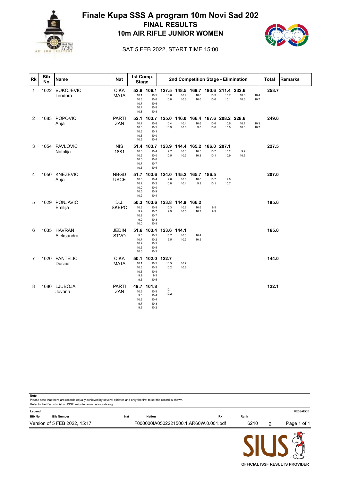

#### **Finale Kupa SSS A program 10m Novi Sad 202 FINAL RESULTS 10m AIR RIFLE JUNIOR WOMEN**



**OFFICIAL ISSF RESULTS PROVIDER**

SAT 5 FEB 2022, START TIME 15:00

| Rk             | <b>Bib</b><br>No | <b>Name</b>               | <b>Nat</b>                  | 1st Comp.<br><b>Stage</b>                    |                                                    |                       |                       |                                               |                                   |                       | 2nd Competition Stage - Elimination |              | Total | <b>Remarks</b> |
|----------------|------------------|---------------------------|-----------------------------|----------------------------------------------|----------------------------------------------------|-----------------------|-----------------------|-----------------------------------------------|-----------------------------------|-----------------------|-------------------------------------|--------------|-------|----------------|
| $\mathbf{1}$   |                  | 1022 VUKOJEVIC<br>Teodora | <b>CIKA</b><br><b>MATA</b>  | 10.1<br>10.8<br>10.7<br>10.4<br>10.8         | 52.8 106.1<br>10.5<br>10.6<br>10.6<br>10.8<br>10.8 | 127.5<br>10.6<br>10.8 | 10.4<br>10.6          | 148.5 169.7 190.6 211.4 232.6<br>10.6<br>10.6 | 10.3<br>10.6                      | 10.7<br>10.1          | 10.6<br>10.6                        | 10.4<br>10.7 | 253.7 |                |
| 2              |                  | 1083 POPOVIC<br>Anja      | <b>PARTI</b><br>ZAN         | 52.1<br>10.7<br>10.3<br>10.3<br>10.3<br>10.5 | 103.7<br>10.6<br>10.5<br>10.1<br>10.0<br>10.4      | 125.0<br>10.4<br>10.9 | 146.0<br>10.4<br>10.6 | 166.4<br>10.6<br>9.8                          | 187.6<br>10.6<br>10.6             | 208.2<br>10.6<br>10.0 | 228.6<br>10.1<br>10.3               | 10.3<br>10.7 | 249.6 |                |
| 3              |                  | 1054 PAVLOVIC<br>Natalija | <b>NIS</b><br>1881          | 51.4<br>10.0<br>10.2<br>10.0<br>10.7<br>10.5 | 103.7<br>10.4<br>10.0<br>10.6<br>10.7<br>10.6      | 123.9<br>9.7<br>10.5  | 144.4<br>10.3<br>10.2 | 10.5<br>10.3                                  | 165.2 186.0 207.1<br>10.7<br>10.1 | 10.2<br>10.9          | 9.9<br>10.5                         |              | 227.5 |                |
| 4              |                  | 1050 KNEZEVIC<br>Anja     | <b>NBGD</b><br><b>USCE</b>  | 51.7<br>10.8<br>10.2<br>10.0<br>10.5<br>10.2 | 103.6<br>10.4<br>10.2<br>10.0<br>10.9<br>10.4      | 124.0<br>9.6<br>10.8  | 145.2<br>10.8<br>10.4 | 165.7<br>10.6<br>9.9                          | 186.5<br>10.7<br>10.1             | 9.8<br>10.7           |                                     |              | 207.0 |                |
| 5              |                  | 1029 PONJAVIC<br>Emilija  | D.J.<br><b>SKEPO</b>        | 50.3<br>10.3<br>9.9<br>10.2<br>9.9<br>10.0   | 103.6<br>10.8<br>10.7<br>10.7<br>10.3<br>10.8      | 123.8<br>10.3<br>9.9  | 144.9<br>10.6<br>10.5 | 166.2<br>10.6<br>10.7                         | 9.5<br>9.9                        |                       |                                     |              | 185.6 |                |
| 6              |                  | 1035 HAVRAN<br>Aleksandra | <b>JEDIN</b><br><b>STVO</b> | 51.6<br>9.6<br>10.7<br>10.2<br>10.5<br>10.6  | 103.4<br>10.5<br>10.2<br>10.3<br>10.5<br>10.3      | 123.6<br>10.7<br>9.5  | 144.1<br>10.3<br>10.2 | 10.4<br>10.5                                  |                                   |                       |                                     |              | 165.0 |                |
| $\overline{7}$ |                  | 1020 PANTELIC<br>Dusica   | <b>CIKA</b><br><b>MATA</b>  | 50.1<br>10.1<br>10.3<br>10.3<br>9.9<br>9.5   | 102.0<br>10.5<br>10.5<br>10.9<br>9.5<br>10.5       | 122.7<br>10.5<br>10.2 | 10.7<br>10.6          |                                               |                                   |                       |                                     |              | 144.0 |                |
| 8              |                  | 1080 LJUBOJA<br>Jovana    | <b>PARTI</b><br>ZAN         | 49.7<br>10.6<br>9.8<br>10.3<br>9.7<br>9.3    | 101.8<br>10.8<br>10.4<br>10.4<br>10.3<br>10.2      | 10.1<br>10.2          |                       |                                               |                                   |                       |                                     |              | 122.1 |                |

| Legend        | Please note that there are records equally achieved by several athletes and only the first to set the record is shown.<br>Refer to the Records list on ISSF website: www.issf-sports.org |            |                                       |    |      |   | 6E68AECE    |
|---------------|------------------------------------------------------------------------------------------------------------------------------------------------------------------------------------------|------------|---------------------------------------|----|------|---|-------------|
| <b>Bib No</b> | <b>Bib Number</b>                                                                                                                                                                        | <b>Nat</b> | Nation                                | Rk | Rank |   |             |
|               | Version of 5 FEB 2022, 15:17                                                                                                                                                             |            | F000000IA0502221500.1.AR60W.0.001.pdf |    | 6210 | 2 | Page 1 of 1 |
|               |                                                                                                                                                                                          |            |                                       |    |      |   |             |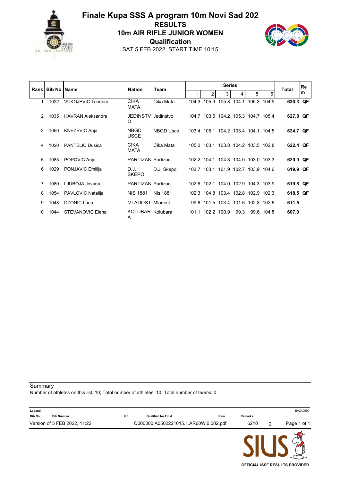

## **Finale Kupa SSS A program 10m Novi Sad 202 RESULTS 10m AIR RIFLE JUNIOR WOMEN Qualification**



SAT 5 FEB 2022, START TIME 10:15

|                | Rank   Bib No   Name |                          | <b>Nation</b>              | Team            |                                     | <b>Series</b> |      |   |            | <b>Total</b> | <b>IRe</b> |
|----------------|----------------------|--------------------------|----------------------------|-----------------|-------------------------------------|---------------|------|---|------------|--------------|------------|
|                |                      |                          |                            |                 | 2                                   | 3             | 4    | 5 | 6          |              | l m        |
| 1              | 1022                 | <b>VUKOJEVIC Teodora</b> | <b>CIKA</b><br><b>MATA</b> | Cika Mata       | 104.3 105.9 105.8 104.1 105.3 104.9 |               |      |   |            | 630.3 QF     |            |
| $\mathcal{P}$  | 1035                 | <b>HAVRAN Aleksandra</b> | JEDINSTV Jedinstvo<br>O    |                 | 104.7 103.5 104.2 105.3 104.7 105.4 |               |      |   |            | 627.8 QF     |            |
| 3              | 1050                 | <b>KNEZEVIC Anja</b>     | <b>NBGD</b><br><b>USCE</b> | NBGD Usce       | 103.4 105.1 104.2 103.4 104.1 104.5 |               |      |   |            | 624.7 QF     |            |
| $\overline{4}$ | 1020                 | <b>PANTELIC Dusica</b>   | <b>CIKA</b><br><b>MATA</b> | Cika Mata       | 105.0 103.1 103.8 104.2 103.5 102.8 |               |      |   |            | 622.4 QF     |            |
| 5              | 1083                 | POPOVIC Anja             | PARTIZAN Partizan          |                 | 102.2 104.1 104.3 104.0 103.0 103.3 |               |      |   |            | 620.9 QF     |            |
| 6              | 1029                 | PONJAVIC Emilija         | D.J.<br><b>SKEPO</b>       | D.J. Skepo      | 103.7 103.1 101.9 102.7 103.9 104.6 |               |      |   |            | 619.9 QF     |            |
| 7              | 1080                 | LJUBOJA Jovana           | PARTIZAN Partizan          |                 | 102.6 102.1 104.0 102.9 104.3 103.9 |               |      |   |            | 619.8 QF     |            |
| 8              | 1054                 | PAVLOVIC Natalija        | <b>NIS 1881</b>            | <b>Nis 1881</b> | 102.3 104.8 103.4 102.8 102.9 102.3 |               |      |   |            | 618.5 QF     |            |
| 9              | 1048                 | DZONIC Lana              | MLADOST Mladost            |                 | 99.6 101.5 103.4 101.6 102.8 102.6  |               |      |   |            | 611.5        |            |
| 10             | 1044                 | <b>STEVANOVIC Elena</b>  | KOLUBAR Kolubara<br>A      |                 | 101.1 102.2 100.9                   |               | 99.3 |   | 99.6 104.8 | 607.9        |            |

**Summary** 

Number of athletes on this list: 10; Total number of athletes: 10; Total number of teams: 0

| Legend        |                              |    |                                       |     |                |   | BA2A0599                              |
|---------------|------------------------------|----|---------------------------------------|-----|----------------|---|---------------------------------------|
| <b>Bib No</b> | <b>Bib Number</b>            | QF | <b>Qualified for Final</b>            | Rem | <b>Remarks</b> |   |                                       |
|               | Version of 5 FEB 2022, 11:22 |    | Q000000IA0502221015.1.AR60W.0.002.pdf |     | 6210           | 2 | Page 1 of 1                           |
|               |                              |    |                                       |     |                |   | <b>OFFICIAL ISSF RESULTS PROVIDER</b> |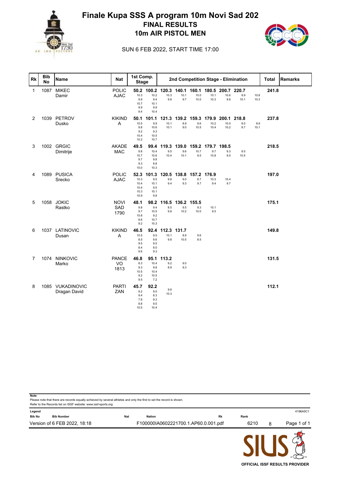

#### **Finale Kupa SSS A program 10m Novi Sad 202 FINAL RESULTS 10m AIR PISTOL MEN**



**OFFICIAL ISSF RESULTS PROVIDER**

SUN 6 FEB 2022, START TIME 17:00

| Rk             | <b>Bib</b><br><b>No</b> | Name                             | Nat                               | 1st Comp.<br><b>Stage</b>                    |                                                  |                       |                            |                                  |                            |                                  | 2nd Competition Stage - Elimination |              | <b>Total</b> | <b>Remarks</b> |
|----------------|-------------------------|----------------------------------|-----------------------------------|----------------------------------------------|--------------------------------------------------|-----------------------|----------------------------|----------------------------------|----------------------------|----------------------------------|-------------------------------------|--------------|--------------|----------------|
| $\mathbf{1}$   | 1087                    | <b>MIKEC</b><br>Damir            | <b>POLIC</b><br><b>AJAC</b>       | 10.3<br>9.9<br>10.7<br>9.9<br>9.4            | 50.2 100.2<br>10.2<br>9.4<br>10.1<br>9.9<br>10.4 | 10.3<br>9.8           | 120.3 140.1<br>10.1<br>9.7 | 160.1<br>10.0<br>10.0            | 10.1<br>10.3               | 180.5 200.7 220.7<br>10.6<br>9.6 | 9.9<br>10.1                         | 10.8<br>10.3 | 241.8        |                |
| 2              |                         | 1039 PETROV<br>Dusko             | <b>KIKIND</b><br>A                | 50.1<br>10.5<br>9.8<br>9.2<br>10.4<br>10.2   | 101.1<br>9.9<br>10.6<br>9.3<br>10.5<br>10.7      | 121.3<br>10.1<br>10.1 | 8.9<br>9.0                 | 139.2 159.3 179.9<br>9.6<br>10.5 | 10.2<br>10.4               | 200.1<br>10.0<br>10.2            | 218.8<br>9.0<br>9.7                 | 8.9<br>10.1  | 237.8        |                |
| 3              |                         | 1002 GRGIC<br>Dimitrije          | <b>AKADE</b><br><b>MAC</b>        | 49.5<br>9.8<br>10.7<br>9.7<br>9.3<br>10.0    | 99.4<br>10.4<br>10.6<br>9.8<br>8.8<br>10.3       | 119.3<br>9.5<br>10.4  | 139.0<br>9.6<br>10.1       | 159.2<br>10.7<br>9.5             | 179.7 198.5<br>9.7<br>10.8 | 9.3<br>9.5                       | 9.5<br>10.5                         |              | 218.5        |                |
| 4              |                         | 1089 PUSICA<br>Srecko            | <b>POLIC</b><br><b>AJAC</b>       | 52.3<br>10.3<br>10.4<br>10.4<br>10.3<br>10.9 | 101.3<br>9.5<br>10.1<br>9.5<br>10.1<br>9.8       | 120.5<br>9.8<br>9.4   | 138.8<br>9.0<br>9.3        | 157.2 176.9<br>8.7<br>9.7        | 10.3<br>9.4                | 10.4<br>9.7                      |                                     |              | 197.0        |                |
| 5              | 1058                    | <b>JOKIC</b><br>Rastko           | <b>NOVI</b><br><b>SAD</b><br>1790 | 48.1<br>9.8<br>9.7<br>10.8<br>8.6<br>9.2     | 98.2<br>9.4<br>10.5<br>9.2<br>10.7<br>10.3       | 116.5<br>8.5<br>9.8   | 136.2<br>9.5<br>10.2       | 155.5<br>9.3<br>10.0             | 10.1<br>9.5                |                                  |                                     |              | 175.1        |                |
| 6              |                         | 1037 LATINOVIC<br>Dusan          | <b>KIKIND</b><br>Α                | 46.5<br>10.5<br>8.5<br>9.5<br>8.4<br>9.6     | 92.4<br>9.5<br>9.6<br>9.5<br>8.0<br>9.3          | 112.3<br>10.1<br>9.8  | 131.7<br>8.9<br>10.5       | 9.6<br>8.5                       |                            |                                  |                                     |              | 149.8        |                |
| $\overline{7}$ |                         | 1074 NINKOVIC<br>Marko           | <b>PANCE</b><br>VO<br>1813        | 46.8<br>8.3<br>9.3<br>10.5<br>9.2<br>9.5     | 95.1<br>10.4<br>9.8<br>10.4<br>10.5<br>7.2       | 113.2<br>9.2<br>8.9   | 9.0<br>9.3                 |                                  |                            |                                  |                                     |              | 131.5        |                |
| 8              |                         | 1085 VUKADINOVIC<br>Dragan David | <b>PARTI</b><br>ZAN               | 45.7<br>9.2<br>9.4<br>7.8<br>8.8<br>10.5     | 92.2<br>9.0<br>8.3<br>9.3<br>9.5<br>10.4         | 9.6<br>10.3           |                            |                                  |                            |                                  |                                     |              | 112.1        |                |

|                         | Please note that there are records equally achieved by several athletes and only the first to set the record is shown.<br>Refer to the Records list on ISSF website: www.issf-sports.org |            |                                      |    |      |   |             |
|-------------------------|------------------------------------------------------------------------------------------------------------------------------------------------------------------------------------------|------------|--------------------------------------|----|------|---|-------------|
| Legend<br><b>Bib No</b> | <b>Bib Number</b>                                                                                                                                                                        | <b>Nat</b> | <b>Nation</b>                        | Rk | Rank |   | 4196A5C1    |
|                         | Version of 6 FEB 2022, 18:18                                                                                                                                                             |            | F100000IA0602221700.1.AP60.0.001.pdf |    | 6210 | 8 | Page 1 of 1 |
|                         |                                                                                                                                                                                          |            |                                      |    |      |   |             |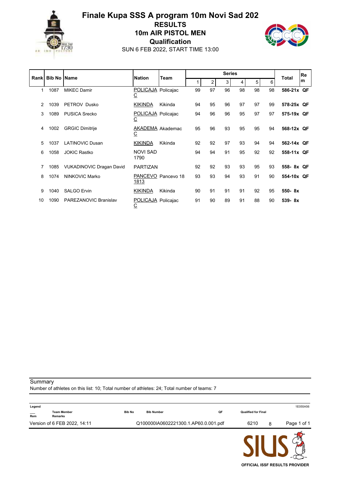

## **Finale Kupa SSS A program 10m Novi Sad 202 RESULTS 10m AIR PISTOL MEN Qualification**



SUN 6 FEB 2022, START TIME 13:00

| Rankl | <b>Bib No IName</b> |                                 | <b>Nation</b>                                  | <b>Team</b>        |    |    | <b>Series</b> |    |    |    | <b>Total</b> | Re |
|-------|---------------------|---------------------------------|------------------------------------------------|--------------------|----|----|---------------|----|----|----|--------------|----|
|       |                     |                                 |                                                |                    |    | 2  | 3             | 4  | 5  | 6  |              | lm |
| 1     | 1087                | <b>MIKEC Damir</b>              | POLICAJA Policajac<br>$\overline{C}$           |                    | 99 | 97 | 96            | 98 | 98 | 98 | 586-21x QF   |    |
| 2     | 1039                | PETROV Dusko                    | <b>KIKINDA</b>                                 | Kikinda            | 94 | 95 | 96            | 97 | 97 | 99 | 578-25x QF   |    |
| 3     | 1089                | <b>PUSICA Srecko</b>            | POLICAJA Policajac<br>$\underline{\mathbb{C}}$ |                    | 94 | 96 | 96            | 95 | 97 | 97 | 575-19x QF   |    |
| 4     | 1002                | <b>GRGIC Dimitrije</b>          | AKADEMA Akademac<br>$\overline{\mathbb{C}}$    |                    | 95 | 96 | 93            | 95 | 95 | 94 | 568-12x QF   |    |
| 5     | 1037                | <b>LATINOVIC Dusan</b>          | <b>KIKINDA</b>                                 | Kikinda            | 92 | 92 | 97            | 93 | 94 | 94 | 562-14x QF   |    |
| 6     | 1058                | <b>JOKIC Rastko</b>             | <b>NOVI SAD</b><br>1790                        |                    | 94 | 94 | 91            | 95 | 92 | 92 | 558-11x QF   |    |
| 7     | 1085                | <b>VUKADINOVIC Dragan David</b> | <b>PARTIZAN</b>                                |                    | 92 | 92 | 93            | 93 | 95 | 93 | 558-8x QF    |    |
| 8     | 1074                | <b>NINKOVIC Marko</b>           | 1813                                           | PANCEVO Pancevo 18 | 93 | 93 | 94            | 93 | 91 | 90 | 554-10x QF   |    |
| 9     | 1040                | <b>SALGO Ervin</b>              | <b>KIKINDA</b>                                 | Kikinda            | 90 | 91 | 91            | 91 | 92 | 95 | $550 - 8x$   |    |
| 10    | 1090                | PAREZANOVIC Branislav           | POLICAJA Policajac<br>$\overline{\mathsf{c}}$  |                    | 91 | 90 | 89            | 91 | 88 | 90 | 539-8x       |    |

#### Summary

Number of athletes on this list: 10; Total number of athletes: 24; Total number of teams: 7

| Legend<br>Rem | <b>Team Member</b><br>Remarks | <b>Bib No</b> | <b>Bib Number</b>                    | QF | <b>Qualified for Final</b> |   | 1E055A56                          |
|---------------|-------------------------------|---------------|--------------------------------------|----|----------------------------|---|-----------------------------------|
|               | Version of 6 FEB 2022, 14:11  |               | Q100000IA0602221300.1.AP60.0.001.pdf |    | 6210                       | 8 | Page 1 of 1<br><b>ALL BURGERS</b> |

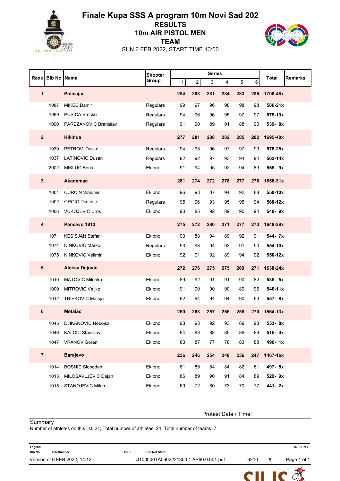

#### **Finale Kupa SSS A program 10m Novi Sad 202 RESULTS 10m AIR PISTOL MEN TEAM**



SUN 6 FEB 2022, START TIME 13:00

| Rank                    | <b>Bib No Name</b> |                         | <b>Shooter</b> |              |                | <b>Series</b> |     |     |     | Total      | Remarks |
|-------------------------|--------------------|-------------------------|----------------|--------------|----------------|---------------|-----|-----|-----|------------|---------|
|                         |                    |                         | Group          | $\mathbf{1}$ | $\overline{c}$ | 3             | 4   | 5   | 6   |            |         |
| 1                       |                    | Policajac               |                | 284          | 283            | 281           | 284 | 283 | 285 | 1700-48x   |         |
|                         | 1087               | <b>MIKEC Damir</b>      | Regulars       | 99           | 97             | 96            | 98  | 98  | 98  | 586-21x    |         |
|                         | 1089               | <b>PUSICA Srecko</b>    | Regulars       | 94           | 96             | 96            | 95  | 97  | 97  | 575-19x    |         |
|                         | 1090               | PAREZANOVIC Branislav   | Regulars       | 91           | 90             | 89            | 91  | 88  | 90  | 539-8x     |         |
| $\overline{2}$          |                    | <b>Kikinda</b>          |                | 277          | 281            | 288           | 282 | 285 | 282 | 1695-48x   |         |
|                         | 1039               | PETROV Dusko            | Regulars       | 94           | 95             | 96            | 97  | 97  | 99  | 578-25x    |         |
|                         | 1037               | <b>LATINOVIC Dusan</b>  | Regulars       | 92           | 92             | 97            | 93  | 94  | 94  | 562-14x    |         |
|                         | 2002               | <b>MIKLUC Boris</b>     | Ekipno         | 91           | 94             | 95            | 92  | 94  | 89  | 555-9x     |         |
| $\mathbf 3$             |                    | <b>Akademac</b>         |                | 281          | 274            | 272           | 278 | 277 | 276 | 1658-31x   |         |
|                         | 1001               | <b>CURCIN Vladimir</b>  | Ekipno         | 96           | 93             | 87            | 94  | 92  | 88  | 550-10x    |         |
|                         | 1002               | <b>GRGIC Dimitrije</b>  | Regulars       | 95           | 96             | 93            | 95  | 95  | 94  | 568-12x    |         |
|                         | 1006               | <b>VUKOJEVIC Uros</b>   | Ekipno         | 90           | 85             | 92            | 89  | 90  | 94  | 540-9x     |         |
| $\overline{4}$          |                    | Pancevo 1813            |                | 275          | 272            | 280           | 271 | 277 | 273 | 1648-29x   |         |
|                         | 1071               | <b>KESISJAN Stefan</b>  | Ekipno         | 90           | 88             | 94            | 89  | 92  | 91  | 544- 7x    |         |
|                         | 1074               | NINKOVIC Marko          | Regulars       | 93           | 93             | 94            | 93  | 91  | 90  | 554-10x    |         |
|                         | 1075               | NINKOVIC Velimir        | Ekipno         | 92           | 91             | 92            | 89  | 94  | 92  | 550-12x    |         |
| 5                       |                    | <b>Aleksa Dejovic</b>   |                | 272          | 276            | 275           | 275 | 269 | 271 | 1638-24x   |         |
|                         | 1010               | <b>MATOVIC Milenko</b>  | Ekipno         | 89           | 92             | 91            | 91  | 90  | 82  | $535 - 5x$ |         |
|                         | 1009               | MITROVIC Veljko         | Ekipno         | 91           | 90             | 90            | 90  | 89  | 96  | 546-11x    |         |
|                         | 1012               | TRIPKOVIC Mateja        | Ekipno         | 92           | 94             | 94            | 94  | 90  | 93  | 557-8x     |         |
| 6                       |                    | <b>Metalac</b>          |                | 260          | 263            | 257           | 256 | 258 | 270 | 1564-13x   |         |
|                         | 1045               | DJIKANOVIC Nebojsa      | Ekipno         | 93           | 93             | 92            | 93  | 89  | 93  | 553-8x     |         |
|                         | 1046               | <b>KALCIC Stanislav</b> | Ekipno         | 84           | 83             | 88            | 85  | 86  | 89  | 515-4x     |         |
|                         | 1047               | <b>VRANOV Goran</b>     | Ekipno         | 83           | 87             | $77\,$        | 78  | 83  | 88  | 496-1x     |         |
| $\overline{\mathbf{7}}$ |                    | <b>Barajevo</b>         |                | 236          | 246            | 254           | 248 | 236 | 247 | 1467-16x   |         |
|                         | 1014               | <b>BOSNIC Slobodan</b>  | Ekipno         | 81           | 85             | 84            | 84  | 82  | 81  | 497- 5x    |         |
|                         | 1013               | MILOSAVLJEVIC Dejan     | Ekipno         | 86           | 89             | 90            | 91  | 84  | 89  | 529-9x     |         |
|                         | 1015               | STANOJEVIC Milan        | Ekipno         | 69           | 72             | 80            | 73  | 70  | 77  | 441-2x     |         |

| Protest Date / Time:                                                                        |  |
|---------------------------------------------------------------------------------------------|--|
| Summary                                                                                     |  |
| Number of athletes on this list: 21; Total number of athletes: 24; Total number of teams: 7 |  |
|                                                                                             |  |
|                                                                                             |  |

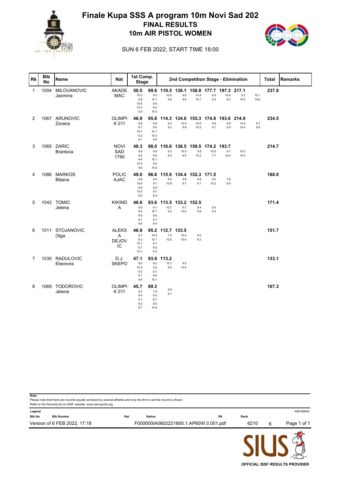

#### **Finale Kupa SSS A program 10m Novi Sad 202 FINAL RESULTS 10m AIR PISTOL WOMEN**



**OFFICIAL ISSF RESULTS PROVIDER**

SUN 6 FEB 2022, START TIME 18:00

| <b>Rk</b>      | <b>Bib</b><br>No | <b>Name</b>                   | <b>Nat</b>                              | 1st Comp.<br><b>Stage</b>                  |                                           |                                 |                            |                                        |                      |                                        | 2nd Competition Stage - Elimination |              | Total | <b>Remarks</b> |
|----------------|------------------|-------------------------------|-----------------------------------------|--------------------------------------------|-------------------------------------------|---------------------------------|----------------------------|----------------------------------------|----------------------|----------------------------------------|-------------------------------------|--------------|-------|----------------|
| $\mathbf 1$    | 1004             | <b>MILOVANOVIC</b><br>Jasmina | <b>AKADE</b><br><b>MAC</b>              | 50.5<br>10.2<br>9.9<br>10.6<br>10.3<br>9.5 | 9.5<br>10.1<br>9.8<br>9.4<br>10.3         | 99.6 119.5 138.1<br>10.0<br>9.9 | 9.0<br>9.6                 | 10.6<br>10.1                           | 9.5<br>9.4           | 158.8 177.7 197.3 217.1<br>10.4<br>9.2 | 9.3<br>10.5                         | 10.1<br>10.6 | 237.8 |                |
| 2              |                  | 1067 ARUNOVIC<br>Zorana       | <b>OLIMPI</b><br>K 011                  | 46.9<br>9.8<br>8.7<br>10.1<br>9.2<br>9.1   | 95.8<br>9.9<br>9.5<br>10.1<br>10.5<br>8.9 | 114.3<br>9.3<br>9.2             | 134.6<br>10.4<br>9.9       | 155.3<br>10.5<br>10.2                  | 174.8<br>9.8<br>9.7  | 193.6<br>9.9<br>8.9                    | 214.9<br>10.9<br>10.4               | 9.7<br>9.9   | 234.5 |                |
| 3              |                  | 1065 ZARIC<br><b>Brankica</b> | <b>NOVI</b><br>SAD<br>1790              | 48.3<br>9.8<br>9.8<br>8.8<br>10.3<br>9.6   | 98.0<br>9.9<br>9.9<br>10.1<br>9.2<br>10.6 | 116.6<br>9.3<br>9.3             | 10.4<br>9.5                | 136.5 156.5 174.2 193.7<br>9.8<br>10.2 | 10.0<br>7.7          | 9.1<br>10.4                            | 10.5<br>10.5                        |              | 214.7 |                |
| 4              |                  | 1086 MARKOS<br>Biljana        | <b>POLIC</b><br><b>AJAC</b>             | 49.0<br>9.8<br>10.0<br>9.6<br>10.0<br>9.6  | 96.6<br>9.4<br>9.7<br>9.9<br>9.7<br>8.9   | 115.9<br>8.5<br>10.8            | 134.4<br>9.8<br>8.7        | 152.3<br>8.8<br>9.1                    | 171.5<br>9.0<br>10.2 | 7.6<br>8.9                             |                                     |              | 188.0 |                |
| 5              |                  | 1042 TOMIC<br>Jelena          | <b>KIKIND</b><br>Α                      | 46.6<br>9.9<br>9.4<br>9.6<br>9.1<br>8.6    | 93.6<br>9.1<br>10.1<br>9.6<br>8.7<br>9.5  | 113.5<br>10.7<br>9.2            | 133.2 152.5<br>9.7<br>10.0 | 9.4<br>9.9                             | 9.5<br>9.4           |                                        |                                     |              | 171.4 |                |
| 6              |                  | 1011 STOJANOVIC<br>Olga       | <b>ALEKS</b><br>A<br><b>DEJOV</b><br>IС | 46.9<br>8.7<br>9.3<br>10.1<br>8.7<br>10.1  | 95.2<br>10.4<br>10.1<br>9.1<br>9.5<br>9.2 | 112.7<br>7.5<br>10.0            | 133.5<br>10.4<br>10.4      | 9.0<br>9.2                             |                      |                                        |                                     |              | 151.7 |                |
| $\overline{7}$ |                  | 1030 RADULOVIC<br>Eleonora    | D.J.<br><b>SKEPO</b>                    | 47.1<br>9.0<br>10.3<br>9.3<br>9.1<br>9.4   | 93.9<br>9.2<br>9.2<br>9.7<br>8.6<br>10.1  | 113.2<br>10.1<br>9.2            | 9.5<br>10.4                |                                        |                      |                                        |                                     |              | 133.1 |                |
| 8              | 1069             | <b>TODOROVIC</b><br>Jelena    | <b>OLIMPI</b><br>K 011                  | 45.7<br>9.2<br>9.4<br>9.1<br>9.3<br>8.7    | 89.3<br>7.8<br>8.5<br>8.7<br>8.0<br>10.6  | 8.9<br>9.1                      |                            |                                        |                      |                                        |                                     |              | 107.3 |                |

| Legend        | Refer to the Records list on ISSF website: www.issf-sports.org |            |                                       |    |      |   | A951B8AD    |
|---------------|----------------------------------------------------------------|------------|---------------------------------------|----|------|---|-------------|
| <b>Bib No</b> | <b>Bib Number</b>                                              | <b>Nat</b> | <b>Nation</b>                         | Rk | Rank |   |             |
|               | Version of 6 FEB 2022, 17:18                                   |            | F000000IA0602221800.1.AP60W.0.001.pdf |    | 6210 | 6 | Page 1 of 1 |
|               |                                                                |            |                                       |    |      |   |             |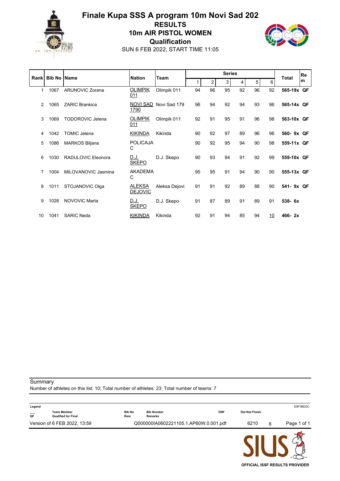

## **Finale Kupa SSS A program 10m Novi Sad 202 RESULTS 10m AIR PISTOL WOMEN Qualification**



SUN 6 FEB 2022, START TIME 11:05

|                | Rank Bib No Name |                         | <b>Team</b><br><b>Nation</b>    |                       | <b>Series</b> |    |    |    |    |    | <b>Total</b> | Re |
|----------------|------------------|-------------------------|---------------------------------|-----------------------|---------------|----|----|----|----|----|--------------|----|
|                |                  |                         |                                 |                       |               | 2  | 3  | 4  | 5  | 6  |              | m  |
| 1              | 1067             | <b>ARUNOVIC Zorana</b>  | <b>OLIMPIK</b><br>011           | Olimpik 011           | 94            | 96 | 95 | 92 | 96 | 92 | 565-19x QF   |    |
| 2              | 1065             | <b>ZARIC Brankica</b>   | 1790                            | NOVI SAD Novi Sad 179 | 96            | 94 | 92 | 94 | 93 | 96 | 565-14x QF   |    |
| 3              | 1069             | <b>TODOROVIC Jelena</b> | <b>OLIMPIK</b><br>011           | Olimpik 011           | 92            | 91 | 95 | 91 | 96 | 98 | 563-10x QF   |    |
| 4              | 1042             | <b>TOMIC Jelena</b>     | <b>KIKINDA</b>                  | Kikinda               | 90            | 92 | 97 | 89 | 96 | 96 | 560- 9x QF   |    |
| 5              | 1086             | <b>MARKOS Biljana</b>   | <b>POLICAJA</b><br>С            |                       | 90            | 92 | 95 | 94 | 90 | 98 | 559-11x QF   |    |
| 6              | 1030             | RADULOVIC Eleonora      | <u>D.J.</u><br><b>SKEPO</b>     | D.J. Skepo            | 90            | 93 | 94 | 91 | 92 | 99 | 559-10x QF   |    |
| $\overline{7}$ | 1004             | MILOVANOVIC Jasmina     | <b>AKADEMA</b><br>С             |                       | 95            | 95 | 91 | 94 | 90 | 90 | 555-13x QF   |    |
| 8              | 1011             | STOJANOVIC Olga         | <b>ALEKSA</b><br><b>DEJOVIC</b> | Aleksa Dejovi         | 91            | 91 | 92 | 89 | 88 | 90 | 541- 9x QF   |    |
| 9              | 1028             | <b>NOVOVIC Marta</b>    | <u>D.J.</u><br><b>SKEPO</b>     | D.J. Skepo            | 91            | 87 | 89 | 91 | 89 | 91 | 538-6x       |    |
| 10             | 1041             | <b>SARIC Neda</b>       | <b>KIKINDA</b>                  | Kikinda               | 92            | 91 | 94 | 85 | 94 | 10 | 466-2x       |    |

Summary

Number of athletes on this list: 10; Total number of athletes: 23; Total number of teams: 7

| Legend                   |                                                  |                      |                                       |            |                       |   | E9F3BD2C    |
|--------------------------|--------------------------------------------------|----------------------|---------------------------------------|------------|-----------------------|---|-------------|
| $\overline{\mathsf{QF}}$ | <b>Team Member</b><br><b>Qualified for Final</b> | <b>Bib No</b><br>Rem | <b>Bib Number</b><br>Remarks          | <b>DNF</b> | <b>Did Not Finish</b> |   |             |
|                          | Version of 6 FEB 2022, 13:59                     |                      | Q000000IA0602221105.1.AP60W.0.001.pdf |            | 6210                  | 6 | Page 1 of 1 |
|                          |                                                  |                      |                                       |            | <b>AIL IA</b>         |   |             |

**SIU OFFICIAL ISSF RESULTS PROVIDER**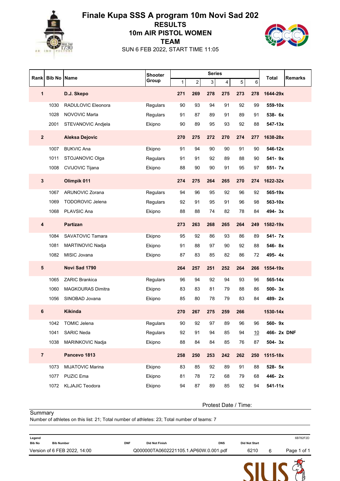

#### **Finale Kupa SSS A program 10m Novi Sad 202 RESULTS 10m AIR PISTOL WOMEN TEAM**



SUN 6 FEB 2022, START TIME 11:05

| Rank                    | <b>Bib No Name</b> |                          | <b>Shooter</b> |              |                | <b>Series</b> |                         |     |           | Total<br><b>Remarks</b> |
|-------------------------|--------------------|--------------------------|----------------|--------------|----------------|---------------|-------------------------|-----|-----------|-------------------------|
|                         |                    |                          | Group          | $\mathbf{1}$ | $\overline{2}$ | 3             | $\overline{\mathbf{4}}$ | 5   | 6         |                         |
| $\mathbf{1}$            |                    | D.J. Skepo               |                | 271          | 269            | 278           | 275                     | 273 | 278       | 1644-29x                |
|                         | 1030               | RADULOVIC Eleonora       | Regulars       | 90           | 93             | 94            | 91                      | 92  | 99        | 559-10x                 |
|                         | 1028               | NOVOVIC Marta            | Regulars       | 91           | 87             | 89            | 91                      | 89  | 91        | 538-6x                  |
|                         | 2001               | STEVANOVIC Andjela       | Ekipno         | 90           | 89             | 95            | 93                      | 92  | 88        | $547 - 13x$             |
| $\boldsymbol{2}$        |                    | <b>Aleksa Dejovic</b>    |                | 270          | 275            | 272           | 270                     | 274 | 277       | 1638-28x                |
|                         | 1007               | <b>BUKVIC Ana</b>        | Ekipno         | 91           | 94             | 90            | 90                      | 91  | 90        | 546-12x                 |
|                         | 1011               | STOJANOVIC Olga          | Regulars       | 91           | 91             | 92            | 89                      | 88  | 90        | 541-9x                  |
|                         | 1008               | CVIJOVIC Tijana          | Ekipno         | 88           | 90             | 90            | 91                      | 95  | 97        | 551- 7x                 |
| $\mathbf{3}$            |                    | Olimpik 011              |                | 274          | 275            | 264           | 265                     | 270 | 274       | 1622-32x                |
|                         | 1067               | <b>ARUNOVIC Zorana</b>   | Regulars       | 94           | 96             | 95            | 92                      | 96  | 92        | 565-19x                 |
|                         | 1069               | <b>TODOROVIC Jelena</b>  | Regulars       | 92           | 91             | 95            | 91                      | 96  | 98        | 563-10x                 |
|                         | 1068               | PLAVSIC Ana              | Ekipno         | 88           | 88             | 74            | 82                      | 78  | 84        | 494-3x                  |
| $\overline{\mathbf{4}}$ |                    | <b>Partizan</b>          |                | 273          | 263            | 268           | 265                     | 264 | 249       | 1582-19x                |
|                         | 1084               | <b>SAVATOVIC Tamara</b>  | Ekipno         | 95           | 92             | 86            | 93                      | 86  | 89        | 541- 7x                 |
|                         | 1081               | MARTINOVIC Nadja         | Ekipno         | 91           | 88             | 97            | 90                      | 92  | 88        | 546-8x                  |
|                         | 1082               | MISIC Jovana             | Ekipno         | 87           | 83             | 85            | 82                      | 86  | 72        | 495-4x                  |
| ${\bf 5}$               |                    | Novi Sad 1790            |                | 264          | 257            | 251           | 252                     | 264 | 266       | 1554-19x                |
|                         | 1065               | <b>ZARIC Brankica</b>    | Regulars       | 96           | 94             | 92            | 94                      | 93  | 96        | 565-14x                 |
|                         | 1060               | <b>MAGKOURAS Dimitra</b> | Ekipno         | 83           | 83             | 81            | 79                      | 88  | 86        | 500-3x                  |
|                         | 1056               | SINOBAD Jovana           | Ekipno         | 85           | 80             | 78            | 79                      | 83  | 84        | 489-2x                  |
| $\bf 6$                 |                    | <b>Kikinda</b>           |                | 270          | 267            | 275           | 259                     | 266 |           | 1530-14x                |
|                         | 1042               | <b>TOMIC Jelena</b>      | Regulars       | 90           | 92             | 97            | 89                      | 96  | 96        | 560-9x                  |
|                         | 1041               | <b>SARIC Neda</b>        | Regulars       | 92           | 91             | 94            | 85                      | 94  | <u>10</u> | 466- 2x DNF             |
|                         | 1038               | MARINKOVIC Nadja         | Ekipno         | 88           | 84             | 84            | 85                      | 76  | 87        | $504 - 3x$              |
| $\overline{7}$          |                    | Pancevo 1813             |                | 258          | 250            | 253           | 242                     | 262 | 250       | 1515-18x                |
|                         | 1073               | <b>MIJATOVIC Marina</b>  | Ekipno         | 83           | 85             | 92            | 89                      | 91  | 88        | 528-5x                  |
|                         | 1077               | <b>PUZIC Ema</b>         | Ekipno         | 81           | 78             | 72            | 68                      | 79  | 68        | 446-2x                  |
|                         | 1072               | KLJAJIC Teodora          | Ekipno         | 94           | 87             | 89            | 85                      | 92  | 94        | 541-11x                 |

**Summary** 

Number of athletes on this list: 21; Total number of athletes: 23; Total number of teams: 7

| Legend        |                              |            |                                       |            |                      |   | 6B782F2D    |
|---------------|------------------------------|------------|---------------------------------------|------------|----------------------|---|-------------|
| <b>Bib No</b> | <b>Bib Number</b>            | <b>DNF</b> | Did Not Finish                        | <b>DNS</b> | <b>Did Not Start</b> |   |             |
|               | Version of 6 FEB 2022, 14:00 |            | Q000000TA0602221105.1.AP60W.0.001.pdf |            | 6210                 | 6 | Page 1 of 1 |



Protest Date / Time: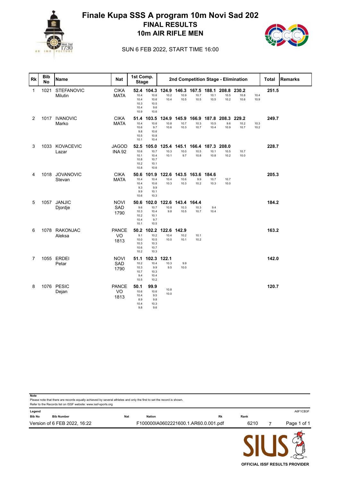

#### **Finale Kupa SSS A program 10m Novi Sad 202 FINAL RESULTS 10m AIR RIFLE MEN**



**OFFICIAL ISSF RESULTS PROVIDER**

SUN 6 FEB 2022, START TIME 16:00

| Rk             | <b>Bib</b><br>No | <b>Name</b>                  | <b>Nat</b>                        | 1st Comp.<br><b>Stage</b>                    |                                               |                                                                |                             |                       |                             |                      | 2nd Competition Stage - Elimination |              | Total | <b>Remarks</b> |
|----------------|------------------|------------------------------|-----------------------------------|----------------------------------------------|-----------------------------------------------|----------------------------------------------------------------|-----------------------------|-----------------------|-----------------------------|----------------------|-------------------------------------|--------------|-------|----------------|
| $\mathbf{1}$   | 1021             | <b>STEFANOVIC</b><br>Milutin | <b>CIKA</b><br><b>MATA</b>        | 10.4<br>10.4<br>10.3<br>10.4<br>10.9         | 10.6<br>10.6<br>10.5<br>9.6<br>10.6           | 52.4 104.3 124.9 146.3 167.5 188.1 208.8 230.2<br>10.2<br>10.4 | 10.9<br>10.5                | 10.7<br>10.5          | 10.1<br>10.5                | 10.5<br>10.2         | 10.8<br>10.6                        | 10.4<br>10.9 | 251.5 |                |
| 2              |                  | 1017 IVANOVIC<br>Marko       | <b>CIKA</b><br><b>MATA</b>        | 51.4<br>10.4<br>10.6<br>9.8<br>10.5<br>10.1  | 103.5<br>10.6<br>9.7<br>10.6<br>10.8<br>10.4  | 124.9<br>10.8<br>10.6                                          | 145.9<br>10.7<br>10.3       | 166.9<br>10.3<br>10.7 | 187.8<br>10.5<br>10.4       | 208.3<br>9.6<br>10.9 | 229.2<br>10.2<br>10.7               | 10.3<br>10.2 | 249.7 |                |
| 3              |                  | 1033 KOVACEVIC<br>Lazar      | <b>JAGOD</b><br><b>INA 92</b>     | 52.5<br>10.6<br>10.1<br>10.8<br>10.2<br>10.8 | 105.0<br>10.7<br>10.4<br>10.7<br>10.1<br>10.6 | 125.4<br>10.3<br>10.1                                          | 145.1<br>10.0<br>9.7        | 166.4<br>10.5<br>10.8 | 187.3 208.0<br>10.1<br>10.8 | 10.5<br>10.2         | 10.7<br>10.0                        |              | 228.7 |                |
| 4              |                  | 1018 JOVANOVIC<br>Stevan     | <b>CIKA</b><br><b>MATA</b>        | 50.6<br>10.4<br>10.4<br>9.3<br>9.9<br>10.6   | 101.9<br>10.4<br>10.6<br>9.9<br>10.1<br>10.3  | 122.6<br>10.4<br>10.3                                          | 143.5<br>10.6<br>10.3       | 163.6<br>9.9<br>10.2  | 184.6<br>10.7<br>10.3       | 10.7<br>10.0         |                                     |              | 205.3 |                |
| 5              |                  | 1057 JANJIC<br>Djordje       | <b>NOVI</b><br><b>SAD</b><br>1790 | 50.6<br>9.6<br>10.3<br>10.2<br>10.4<br>10.1  | 102.0<br>10.7<br>10.4<br>10.1<br>9.7<br>10.5  | 122.6<br>10.8<br>9.8                                           | 143.4 164.4<br>10.3<br>10.5 | 10.3<br>10.7          | 9.4<br>10.4                 |                      |                                     |              | 184.2 |                |
| 6              |                  | 1078 RAKONJAC<br>Aleksa      | <b>PANCE</b><br>VO<br>1813        | 50.2<br>9.1<br>10.0<br>10.3<br>10.6<br>10.2  | 102.2<br>10.2<br>10.5<br>10.3<br>10.7<br>10.3 | 122.6<br>10.4<br>10.0                                          | 142.9<br>10.2<br>10.1       | 10.1<br>10.2          |                             |                      |                                     |              | 163.2 |                |
| $\overline{7}$ |                  | 1055 ERDEI<br>Petar          | <b>NOVI</b><br><b>SAD</b><br>1790 | 51.1<br>10.2<br>10.3<br>10.7<br>9.4<br>10.5  | 102.3<br>10.4<br>9.9<br>10.3<br>10.4<br>10.2  | 122.1<br>10.3<br>9.5                                           | 9.9<br>10.0                 |                       |                             |                      |                                     |              | 142.0 |                |
| 8              |                  | 1076 PESIC<br>Dejan          | <b>PANCE</b><br>VO<br>1813        | 50.1<br>10.6<br>10.4<br>8.9<br>10.4<br>9.8   | 99.9<br>10.6<br>9.5<br>9.8<br>10.3<br>9.6     | 10.8<br>10.0                                                   |                             |                       |                             |                      |                                     |              | 120.7 |                |

|                         | Please note that there are records equally achieved by several athletes and only the first to set the record is shown.<br>Refer to the Records list on ISSF website: www.issf-sports.org |            |                                      |    |      |             |
|-------------------------|------------------------------------------------------------------------------------------------------------------------------------------------------------------------------------------|------------|--------------------------------------|----|------|-------------|
| Legend<br><b>Bib No</b> | <b>Bib Number</b>                                                                                                                                                                        | <b>Nat</b> | <b>Nation</b>                        | Rk | Rank | A6F1CB3F    |
|                         | Version of 6 FEB 2022, 16:22                                                                                                                                                             |            | F100000IA0602221600.1.AR60.0.001.pdf |    | 6210 | Page 1 of 1 |
|                         |                                                                                                                                                                                          |            |                                      |    |      |             |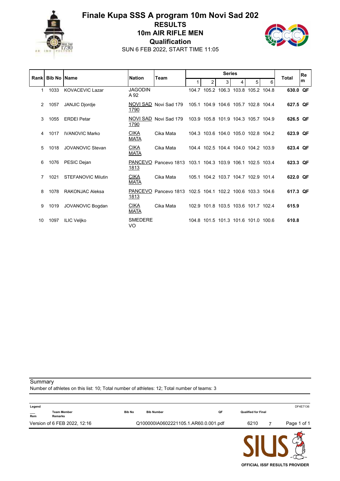

## **Finale Kupa SSS A program 10m Novi Sad 202 RESULTS 10m AIR RIFLE MEN Qualification**



SUN 6 FEB 2022, START TIME 11:05

|    | Rank Bib No Name |                           | <b>Nation</b>              | Team                                                     | <b>Series</b> |                                     |   | <b>Total</b> | Re |   |          |   |
|----|------------------|---------------------------|----------------------------|----------------------------------------------------------|---------------|-------------------------------------|---|--------------|----|---|----------|---|
|    |                  |                           |                            |                                                          |               | $\mathcal{P}$                       | 3 | 4            | 5  | 6 |          | m |
| 1  | 1033             | <b>KOVACEVIC Lazar</b>    | <b>JAGODIN</b><br>A 92     |                                                          |               | 104.7 105.2 106.3 103.8 105.2 104.8 |   |              |    |   | 630.0 QF |   |
| 2  | 1057             | <b>JANJIC Djordje</b>     | 1790                       | NOVI SAD Novi Sad 179                                    |               | 105.1 104.9 104.6 105.7 102.8 104.4 |   |              |    |   | 627.5 QF |   |
| 3  | 1055             | <b>ERDEI Petar</b>        | 1790                       | NOVI SAD Novi Sad 179                                    |               | 103.9 105.8 101.9 104.3 105.7 104.9 |   |              |    |   | 626.5 QF |   |
| 4  | 1017             | <b>IVANOVIC Marko</b>     | <b>CIKA</b><br><b>MATA</b> | Cika Mata                                                |               | 104.3 103.6 104.0 105.0 102.8 104.2 |   |              |    |   | 623.9 QF |   |
| 5  | 1018             | <b>JOVANOVIC Stevan</b>   | <b>CIKA</b><br><b>MATA</b> | Cika Mata                                                |               | 104.4 102.5 104.4 104.0 104.2 103.9 |   |              |    |   | 623.4 QF |   |
| 6  | 1076             | PESIC Dejan               | 1813                       | PANCEVO Pancevo 1813 103.1 104.3 103.9 106.1 102.5 103.4 |               |                                     |   |              |    |   | 623.3 QF |   |
| 7  | 1021             | <b>STEFANOVIC Milutin</b> | <b>CIKA</b><br><b>MATA</b> | Cika Mata                                                |               | 105.1 104.2 103.7 104.7 102.9 101.4 |   |              |    |   | 622.0 QF |   |
| 8  | 1078             | <b>RAKONJAC Aleksa</b>    | <u> 1813</u>               | PANCEVO Pancevo 1813 102.5 104.1 102.2 100.6 103.3 104.6 |               |                                     |   |              |    |   | 617.3 QF |   |
| 9  | 1019             | <b>JOVANOVIC Bogdan</b>   | <b>CIKA</b><br><b>MATA</b> | Cika Mata                                                |               | 102.9 101.8 103.5 103.6 101.7 102.4 |   |              |    |   | 615.9    |   |
| 10 | 1097             | ILIC Veljko               | <b>SMEDERE</b><br>VO       |                                                          |               | 104.8 101.5 101.3 101.6 101.0 100.6 |   |              |    |   | 610.8    |   |

#### Summary

Number of athletes on this list: 10; Total number of athletes: 12; Total number of teams: 3

| Legend<br>Rem | <b>Team Member</b><br>Remarks | <b>Bib No</b> | <b>Bib Number</b>                    | QF | <b>Qualified for Final</b> | DF4E7136    |
|---------------|-------------------------------|---------------|--------------------------------------|----|----------------------------|-------------|
|               | Version of 6 FEB 2022, 12:16  |               | Q100000IA0602221105.1.AR60.0.001.pdf |    | 6210                       | Page 1 of 1 |
|               |                               |               |                                      |    |                            |             |

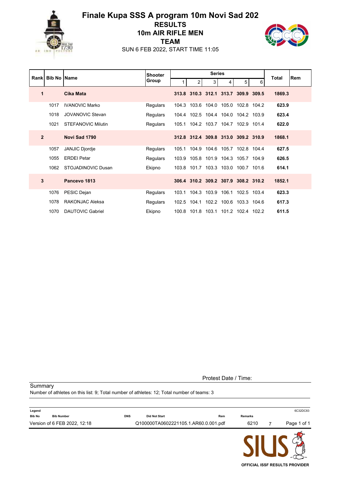

#### **Finale Kupa SSS A program 10m Novi Sad 202 RESULTS 10m AIR RIFLE MEN TEAM**



SUN 6 FEB 2022, START TIME 11:05

| Rankl          | <b>Bib No Name</b> |                           | <b>Shooter</b> |       |                                     | <b>Series</b>                 |       |                |             | Total  | <b>Rem</b> |
|----------------|--------------------|---------------------------|----------------|-------|-------------------------------------|-------------------------------|-------|----------------|-------------|--------|------------|
|                |                    |                           | Group          | 1     | $\overline{2}$                      | 3                             | 4     | 5 <sup>1</sup> | 6           |        |            |
| 1              |                    | Cika Mata                 |                |       | 313.8 310.3 312.1 313.7 309.9 309.5 |                               |       |                |             | 1869.3 |            |
|                | 1017               | <b>IVANOVIC Marko</b>     | Regulars       |       | 104.3 103.6 104.0 105.0 102.8 104.2 |                               |       |                |             | 623.9  |            |
|                | 1018               | JOVANOVIC Stevan          | Regulars       |       | 104.4 102.5 104.4 104.0 104.2 103.9 |                               |       |                |             | 623.4  |            |
|                | 1021               | <b>STEFANOVIC Milutin</b> | Regulars       | 105.1 | 104.2 103.7 104.7 102.9 101.4       |                               |       |                |             | 622.0  |            |
| $\overline{2}$ |                    | Novi Sad 1790             |                |       | 312.8 312.4 309.8 313.0 309.2 310.9 |                               |       |                |             | 1868.1 |            |
|                | 1057               | <b>JANJIC Djordje</b>     | Regulars       | 105.1 |                                     | 104.9 104.6 105.7 102.8 104.4 |       |                |             | 627.5  |            |
|                | 1055               | <b>ERDEI Petar</b>        | Regulars       |       | 103.9 105.8 101.9 104.3 105.7 104.9 |                               |       |                |             | 626.5  |            |
|                | 1062               | STOJADINOVIC Dusan        | Ekipno         |       | 103.8 101.7 103.3 103.0 100.7 101.6 |                               |       |                |             | 614.1  |            |
| 3              |                    | Pancevo 1813              |                |       | 306.4 310.2 309.2 307.9 308.2 310.2 |                               |       |                |             | 1852.1 |            |
|                | 1076               | PESIC Dejan               | Regulars       | 103.1 |                                     | 104.3 103.9                   | 106.1 |                | 102.5 103.4 | 623.3  |            |
|                | 1078               | RAKONJAC Aleksa           | Regulars       |       | 102.5 104.1 102.2 100.6 103.3 104.6 |                               |       |                |             | 617.3  |            |
|                | 1070               | <b>DAUTOVIC Gabriel</b>   | Ekipno         |       | 100.8 101.8 103.1 101.2 102.4 102.2 |                               |       |                |             | 611.5  |            |

Protest Date / Time:

**Summary** 

Number of athletes on this list: 9; Total number of athletes: 12; Total number of teams: 3

| Legend        |                              |            |                                      |     |         | 6C32DC83    |
|---------------|------------------------------|------------|--------------------------------------|-----|---------|-------------|
| <b>Bib No</b> | <b>Bib Number</b>            | <b>DNS</b> | <b>Did Not Start</b>                 | Rem | Remarks |             |
|               | Version of 6 FEB 2022, 12:18 |            | Q100000TA0602221105.1.AR60.0.001.pdf |     | 6210    | Page 1 of 1 |
|               |                              |            |                                      |     |         |             |

**OFFICIAL ISSF RESULTS PROVIDER**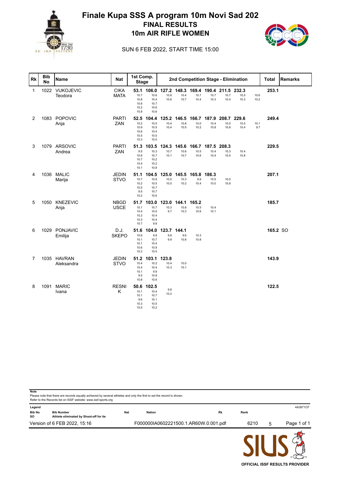

#### **Finale Kupa SSS A program 10m Novi Sad 202 FINAL RESULTS 10m AIR RIFLE WOMEN**



SUN 6 FEB 2022, START TIME 15:00

| <b>Rk</b> | <b>Bib</b><br>No | <b>Name</b>               | <b>Nat</b>                  | 1st Comp.<br><b>Stage</b>                    |                                                    |                       |                       |                                                     |                             |                       | 2nd Competition Stage - Elimination |              | Total    | <b>Remarks</b> |
|-----------|------------------|---------------------------|-----------------------------|----------------------------------------------|----------------------------------------------------|-----------------------|-----------------------|-----------------------------------------------------|-----------------------------|-----------------------|-------------------------------------|--------------|----------|----------------|
| 1         |                  | 1022 VUKOJEVIC<br>Teodora | <b>CIKA</b><br><b>MATA</b>  | 10.7<br>10.8<br>10.6<br>10.2<br>10.8         | 53.1 106.0<br>10.6<br>10.4<br>10.7<br>10.6<br>10.6 | 10.6<br>10.6          | 10.4<br>10.7          | 127.2 148.3 169.4 190.4 211.5 232.3<br>10.7<br>10.4 | 10.7<br>10.3                | 10.7<br>10.4          | 10.5<br>10.3                        | 10.6<br>10.2 | 253.1    |                |
| 2         |                  | 1083 POPOVIC<br>Anja      | <b>PARTI</b><br>ZAN         | 52.5<br>10.2<br>10.9<br>10.6<br>10.5<br>10.3 | 104.4<br>10.5<br>10.5<br>10.4<br>10.5<br>10.0      | 125.2<br>10.4<br>10.4 | 146.5<br>10.8<br>10.5 | 166.7<br>10.0<br>10.2                               | 187.9<br>10.4<br>10.8       | 208.7<br>10.0<br>10.8 | 229.6<br>10.5<br>10.4               | 10.1<br>9.7  | 249.4    |                |
| 3         |                  | 1079 ARSOVIC<br>Andrea    | <b>PARTI</b><br>ZAN         | 51.3<br>9.5<br>10.6<br>10.7<br>10.4<br>10.1  | 103.5<br>10.3<br>10.7<br>10.2<br>10.2<br>10.8      | 124.3<br>10.7<br>10.1 | 145.6<br>10.6<br>10.7 | 166.7<br>10.5<br>10.6                               | 187.5 208.3<br>10.4<br>10.4 | 10.3<br>10.5          | 10.4<br>10.8                        |              | 229.5    |                |
| 4         |                  | 1036 MALIC<br>Marija      | <b>JEDIN</b><br><b>STVO</b> | 51.1<br>10.7<br>10.2<br>10.5<br>9.5<br>10.2  | 104.5<br>10.9<br>10.5<br>10.7<br>10.7<br>10.6      | 125.0<br>10.5<br>10.0 | 145.5<br>10.3<br>10.2 | 165.8<br>9.9<br>10.4                                | 186.3<br>10.5<br>10.0       | 10.0<br>10.8          |                                     |              | 207.1    |                |
| 5         |                  | 1050 KNEZEVIC<br>Anja     | <b>NBGD</b><br><b>USCE</b>  | 51.7<br>10.1<br>10.4<br>10.2<br>10.3<br>10.7 | 103.0<br>10.7<br>10.0<br>10.4<br>10.4<br>9.8       | 123.0<br>10.3<br>9.7  | 144.1<br>10.8<br>10.3 | 165.2<br>10.5<br>10.6                               | 10.4<br>10.1                |                       |                                     |              | 185.7    |                |
| 6         |                  | 1029 PONJAVIC<br>Emilija  | D.J.<br><b>SKEPO</b>        | 51.6<br>10.6<br>10.1<br>10.1<br>10.6<br>10.2 | 104.0<br>9.9<br>10.7<br>10.4<br>10.9<br>10.5       | 123.7<br>9.8<br>9.9   | 144.1<br>9.6<br>10.8  | 10.3<br>10.8                                        |                             |                       |                                     |              | 165.2 SO |                |
| 7         |                  | 1035 HAVRAN<br>Aleksandra | <b>JEDIN</b><br><b>STVO</b> | 51.2<br>10.4<br>10.4<br>10.1<br>9.5<br>10.8  | 103.1<br>10.2<br>10.4<br>9.9<br>10.8<br>10.6       | 123.8<br>10.4<br>10.3 | 10.0<br>10.1          |                                                     |                             |                       |                                     |              | 143.9    |                |
| 8         |                  | 1091 MARIC<br>Ivana       | <b>RESNI</b><br>K           | 50.6<br>10.1<br>10.1<br>9.6<br>10.3<br>10.5  | 102.5<br>10.4<br>10.7<br>10.1<br>10.5<br>10.2      | 9.8<br>10.2           |                       |                                                     |                             |                       |                                     |              | 122.5    |                |

Please note that there are records equally achieved by several athletes and only the first to set the record is shown. **Note** Refer to the Records list on ISSF website: www.issf-sports.org

| Legend                     |                                                              |     |                                       |    |      |   | 4A3971CF    |
|----------------------------|--------------------------------------------------------------|-----|---------------------------------------|----|------|---|-------------|
| <b>Bib No</b><br><b>SO</b> | <b>Bib Number</b><br>Athlete eliminated by Shoot-off for tie | Nat | <b>Nation</b>                         | Rk | Rank |   |             |
|                            | Version of 6 FEB 2022, 15:16                                 |     | F000000IA0602221500.1.AR60W.0.001.pdf |    | 6210 | 5 | Page 1 of 1 |
|                            |                                                              |     |                                       |    |      |   |             |

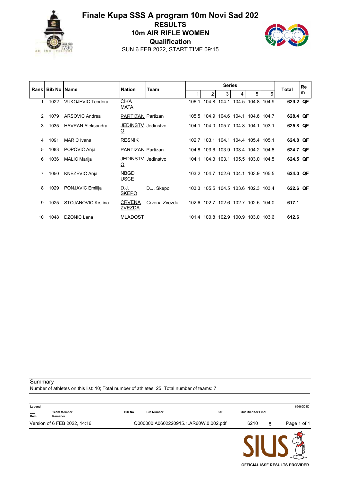

#### **Finale Kupa SSS A program 10m Novi Sad 202 RESULTS 10m AIR RIFLE WOMEN Qualification** SUN 6 FEB 2022, START TIME 09:15



| Rankl         | <b>Bib No IName</b> |                          | <b>Nation</b>                  |               | <b>Series</b> |                                     |   |   |                               | <b>Total</b> | Re       |   |
|---------------|---------------------|--------------------------|--------------------------------|---------------|---------------|-------------------------------------|---|---|-------------------------------|--------------|----------|---|
|               |                     |                          |                                | Team          |               | 2                                   | 3 | 4 | 5                             | 6            |          | m |
| 1             | 1022                | <b>VUKOJEVIC Teodora</b> | <b>CIKA</b><br><b>MATA</b>     |               | 106.1         |                                     |   |   | 104.8 104.1 104.5 104.8 104.9 |              | 629.2 QF |   |
| $\mathcal{P}$ | 1079                | <b>ARSOVIC Andrea</b>    | PARTIZAN Partizan              |               |               | 105.5 104.9 104.6 104.1 104.6 104.7 |   |   |                               |              | 628.4 QF |   |
| 3             | 1035                | <b>HAVRAN Aleksandra</b> | JEDINSTV Jedinstvo<br>$\Omega$ |               |               | 104.1 104.0 105.7 104.8 104.1 103.1 |   |   |                               |              | 625.8 QF |   |
| 4             | 1091                | <b>MARIC</b> Ivana       | <b>RESNIK</b>                  |               |               | 102.7 103.1 104.1 104.4 105.4 105.1 |   |   |                               |              | 624.8 QF |   |
| 5             | 1083                | POPOVIC Anja             | PARTIZAN Partizan              |               |               | 104.8 103.6 103.9 103.4 104.2 104.8 |   |   |                               |              | 624.7 QF |   |
| 6             | 1036                | <b>MALIC Marija</b>      | JEDINSTV Jedinstvo<br>$\Omega$ |               |               | 104.1 104.3 103.1 105.5 103.0 104.5 |   |   |                               |              | 624.5 QF |   |
| 7             | 1050                | <b>KNEZEVIC Anja</b>     | <b>NBGD</b><br><b>USCE</b>     |               |               | 103.2 104.7 102.6 104.1 103.9 105.5 |   |   |                               |              | 624.0 QF |   |
| 8             | 1029                | PONJAVIC Emilija         | <u>D.J.</u><br><b>SKEPO</b>    | D.J. Skepo    |               | 103.3 105.5 104.5 103.6 102.3 103.4 |   |   |                               |              | 622.6 QF |   |
| 9             | 1025                | STOJANOVIC Krstina       | <b>CRVENA</b><br>ZVEZDA        | Crvena Zvezda |               | 102.6 102.7 102.6 102.7 102.5 104.0 |   |   |                               |              | 617.1    |   |
| 10            | 1048                | <b>DZONIC Lana</b>       | <b>MLADOST</b>                 |               |               | 101.4 100.8 102.9 100.9 103.0 103.6 |   |   |                               |              | 612.6    |   |

**Summary** 

Number of athletes on this list: 10; Total number of athletes: 25; Total number of teams: 7

| Legend<br>Rem | <b>Team Member</b><br>Remarks | <b>Bib No</b> | <b>Bib Number</b>                     | QF | <b>Qualified for Final</b> |   | 65669D3D    |
|---------------|-------------------------------|---------------|---------------------------------------|----|----------------------------|---|-------------|
|               | Version of 6 FEB 2022, 14:16  |               | Q000000IA0602220915.1.AR60W.0.002.pdf |    | 6210                       | 5 | Page 1 of 1 |
|               |                               |               |                                       |    | $\bigcap$ if i $\bigcap$   |   |             |